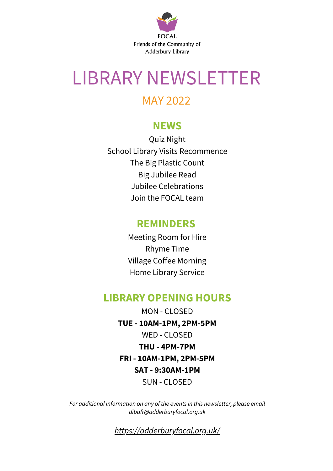

## LIBRARY NEWSLETTER

#### MAY 2022

#### **NEWS**

Quiz Night School Library Visits Recommence The Big Plastic Count Big Jubilee Read Jubilee Celebrations Join the FOCAL team

#### **REMINDERS**

Meeting Room for Hire Rhyme Time Village Coffee Morning Home Library Service

#### **LIBRARY OPENING HOURS**

MON - CLOSED **TUE - 10AM-1PM, 2PM-5PM** WED - CLOSED **THU - 4PM-7PM FRI - 10AM-1PM, 2PM-5PM SAT - 9:30AM-1PM** SUN - CLOSED

*For additional information on any of the events in this newsletter, please email dibafr@adderburyfocal.org.uk*

*[https://adderburyfocal.org.uk/](https://www.adderburyfocal.org.uk/)*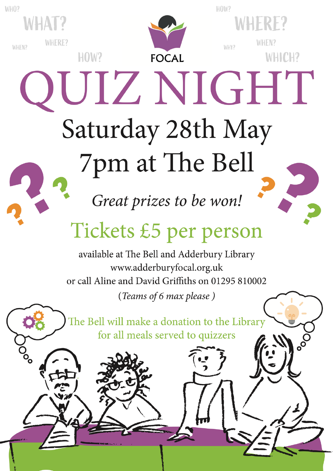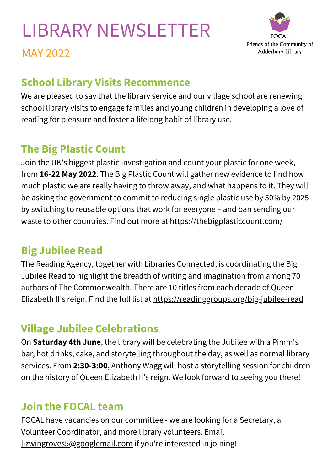# LIBRARY NEWSLETTER



MAY 2022

### **School Library Visits Recommence**

We are pleased to say that the library service and our village school are renewing school library visits to engage families and young children in developing a love of reading for pleasure and foster a lifelong habit of library use.

### **The Big Plastic Count**

Join the UK's biggest plastic investigation and count your plastic for one week, from **16-22 May 2022**. The Big Plastic Count will gather new evidence to find how much plastic we are really having to throw away, and what happens to it. They will be asking the government to commit to reducing single plastic use by 50% by 2025 by switching to reusable options that work for everyone – and ban sending our waste to other countries. Find out more at <https://thebigplasticcount.com/>

### **Big Jubilee Read**

The Reading Agency, together with Libraries Connected, is coordinating the Big Jubilee Read to highlight the breadth of writing and imagination from among 70 authors of The Commonwealth. There are 10 titles from each decade of Queen Elizabeth II's reign. Find the full list at <https://readinggroups.org/big-jubilee-read>

### **Village Jubilee Celebrations**

On **Saturday 4th June**, the library will be celebrating the Jubilee with a Pimm's bar, hot drinks, cake, and storytelling throughout the day, as well as normal library services. From **2:30-3:00**, Anthony Wagg will host a storytelling session for children on the history of Queen Elizabeth II's reign. We look forward to seeing you there!

#### **Join the FOCAL team**

FOCAL have vacancies on our committee - we are looking for a Secretary, a Volunteer Coordinator, and more library volunteers. Email [lizwingroves5@googlemail.com](mailto:lizwingroves5@googlemail.com) if you're interested in joining!